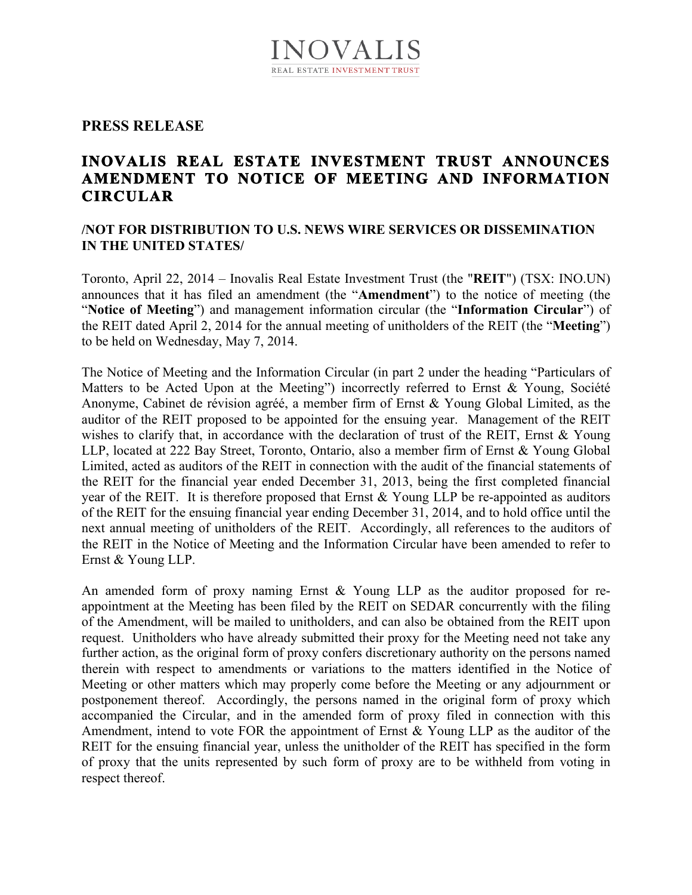## **PRESS RELEASE**

# **INOVALIS REAL ESTATE INVESTMENT TRUST ANNOUNCES AMENDMENT TO NOTICE OF MEETING AND INFORMATION CIRCULAR**

## **/NOT FOR DISTRIBUTION TO U.S. NEWS WIRE SERVICES OR DISSEMINATION IN THE UNITED STATES/**

Toronto, April 22, 2014 – Inovalis Real Estate Investment Trust (the "**REIT**") (TSX: INO.UN) announces that it has filed an amendment (the "**Amendment**") to the notice of meeting (the "**Notice of Meeting**") and management information circular (the "**Information Circular**") of the REIT dated April 2, 2014 for the annual meeting of unitholders of the REIT (the "**Meeting**") to be held on Wednesday, May 7, 2014.

The Notice of Meeting and the Information Circular (in part 2 under the heading "Particulars of Matters to be Acted Upon at the Meeting") incorrectly referred to Ernst & Young, Société Anonyme, Cabinet de révision agréé, a member firm of Ernst & Young Global Limited, as the auditor of the REIT proposed to be appointed for the ensuing year. Management of the REIT wishes to clarify that, in accordance with the declaration of trust of the REIT, Ernst & Young LLP, located at 222 Bay Street, Toronto, Ontario, also a member firm of Ernst & Young Global Limited, acted as auditors of the REIT in connection with the audit of the financial statements of the REIT for the financial year ended December 31, 2013, being the first completed financial year of the REIT. It is therefore proposed that Ernst & Young LLP be re-appointed as auditors of the REIT for the ensuing financial year ending December 31, 2014, and to hold office until the next annual meeting of unitholders of the REIT. Accordingly, all references to the auditors of the REIT in the Notice of Meeting and the Information Circular have been amended to refer to Ernst & Young LLP.

An amended form of proxy naming Ernst & Young LLP as the auditor proposed for reappointment at the Meeting has been filed by the REIT on SEDAR concurrently with the filing of the Amendment, will be mailed to unitholders, and can also be obtained from the REIT upon request. Unitholders who have already submitted their proxy for the Meeting need not take any further action, as the original form of proxy confers discretionary authority on the persons named therein with respect to amendments or variations to the matters identified in the Notice of Meeting or other matters which may properly come before the Meeting or any adjournment or postponement thereof. Accordingly, the persons named in the original form of proxy which accompanied the Circular, and in the amended form of proxy filed in connection with this Amendment, intend to vote FOR the appointment of Ernst & Young LLP as the auditor of the REIT for the ensuing financial year, unless the unitholder of the REIT has specified in the form of proxy that the units represented by such form of proxy are to be withheld from voting in respect thereof.